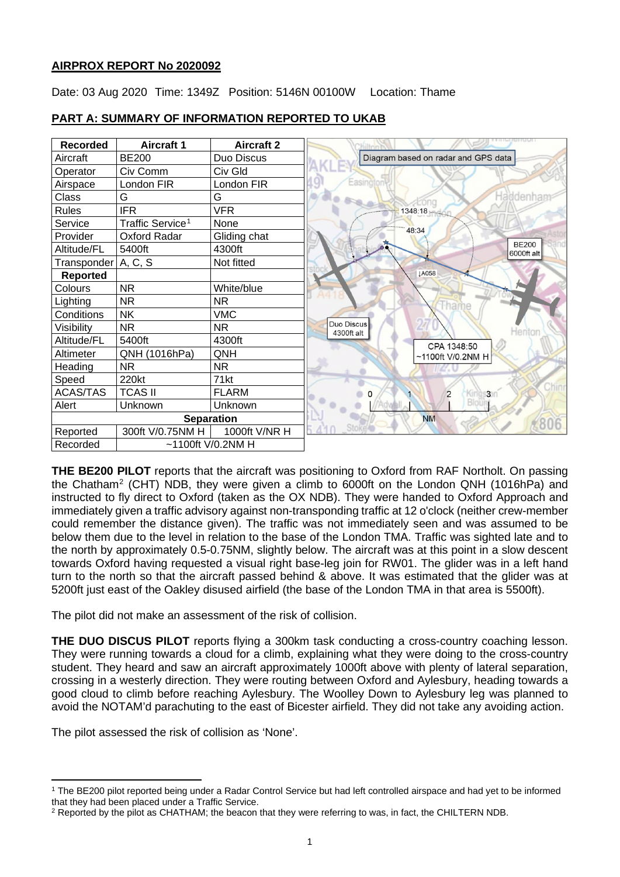## **AIRPROX REPORT No 2020092**

Date: 03 Aug 2020 Time: 1349Z Position: 5146N 00100W Location: Thame



# **PART A: SUMMARY OF INFORMATION REPORTED TO UKAB**

**THE BE200 PILOT** reports that the aircraft was positioning to Oxford from RAF Northolt. On passing the Chatham[2](#page-0-1) (CHT) NDB, they were given a climb to 6000ft on the London QNH (1016hPa) and instructed to fly direct to Oxford (taken as the OX NDB). They were handed to Oxford Approach and immediately given a traffic advisory against non-transponding traffic at 12 o'clock (neither crew-member could remember the distance given). The traffic was not immediately seen and was assumed to be below them due to the level in relation to the base of the London TMA. Traffic was sighted late and to the north by approximately 0.5-0.75NM, slightly below. The aircraft was at this point in a slow descent towards Oxford having requested a visual right base-leg join for RW01. The glider was in a left hand turn to the north so that the aircraft passed behind & above. It was estimated that the glider was at 5200ft just east of the Oakley disused airfield (the base of the London TMA in that area is 5500ft).

The pilot did not make an assessment of the risk of collision.

**THE DUO DISCUS PILOT** reports flying a 300km task conducting a cross-country coaching lesson. They were running towards a cloud for a climb, explaining what they were doing to the cross-country student. They heard and saw an aircraft approximately 1000ft above with plenty of lateral separation, crossing in a westerly direction. They were routing between Oxford and Aylesbury, heading towards a good cloud to climb before reaching Aylesbury. The Woolley Down to Aylesbury leg was planned to avoid the NOTAM'd parachuting to the east of Bicester airfield. They did not take any avoiding action.

The pilot assessed the risk of collision as 'None'.

<span id="page-0-0"></span><sup>1</sup> The BE200 pilot reported being under a Radar Control Service but had left controlled airspace and had yet to be informed that they had been placed under a Traffic Service.

<span id="page-0-1"></span> $2$  Reported by the pilot as CHATHAM; the beacon that they were referring to was, in fact, the CHILTERN NDB.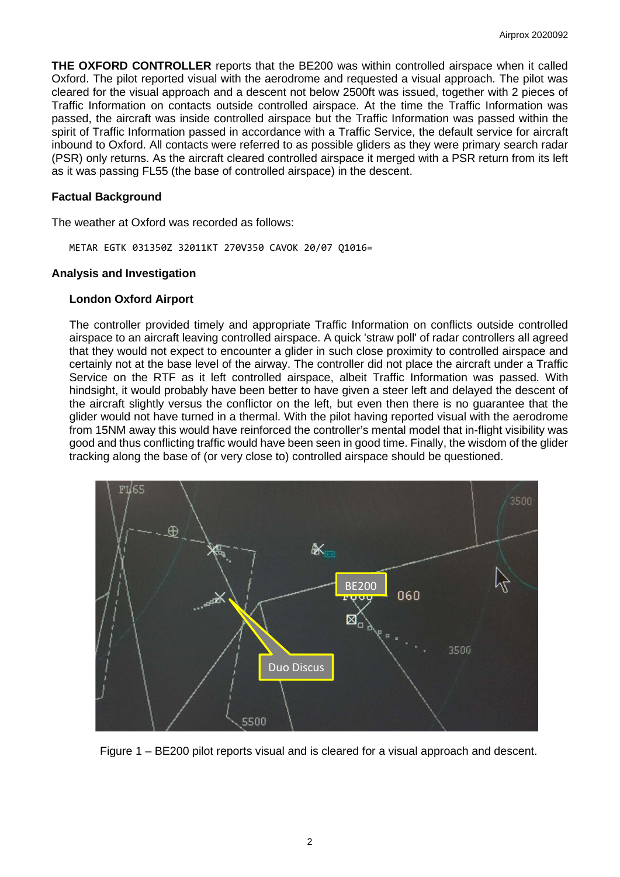**THE OXFORD CONTROLLER** reports that the BE200 was within controlled airspace when it called Oxford. The pilot reported visual with the aerodrome and requested a visual approach. The pilot was cleared for the visual approach and a descent not below 2500ft was issued, together with 2 pieces of Traffic Information on contacts outside controlled airspace. At the time the Traffic Information was passed, the aircraft was inside controlled airspace but the Traffic Information was passed within the spirit of Traffic Information passed in accordance with a Traffic Service, the default service for aircraft inbound to Oxford. All contacts were referred to as possible gliders as they were primary search radar (PSR) only returns. As the aircraft cleared controlled airspace it merged with a PSR return from its left as it was passing FL55 (the base of controlled airspace) in the descent.

## **Factual Background**

The weather at Oxford was recorded as follows:

METAR EGTK 031350Z 32011KT 270V350 CAVOK 20/07 Q1016=

#### **Analysis and Investigation**

#### **London Oxford Airport**

The controller provided timely and appropriate Traffic Information on conflicts outside controlled airspace to an aircraft leaving controlled airspace. A quick 'straw poll' of radar controllers all agreed that they would not expect to encounter a glider in such close proximity to controlled airspace and certainly not at the base level of the airway. The controller did not place the aircraft under a Traffic Service on the RTF as it left controlled airspace, albeit Traffic Information was passed. With hindsight, it would probably have been better to have given a steer left and delayed the descent of the aircraft slightly versus the conflictor on the left, but even then there is no guarantee that the glider would not have turned in a thermal. With the pilot having reported visual with the aerodrome from 15NM away this would have reinforced the controller's mental model that in-flight visibility was good and thus conflicting traffic would have been seen in good time. Finally, the wisdom of the glider tracking along the base of (or very close to) controlled airspace should be questioned.



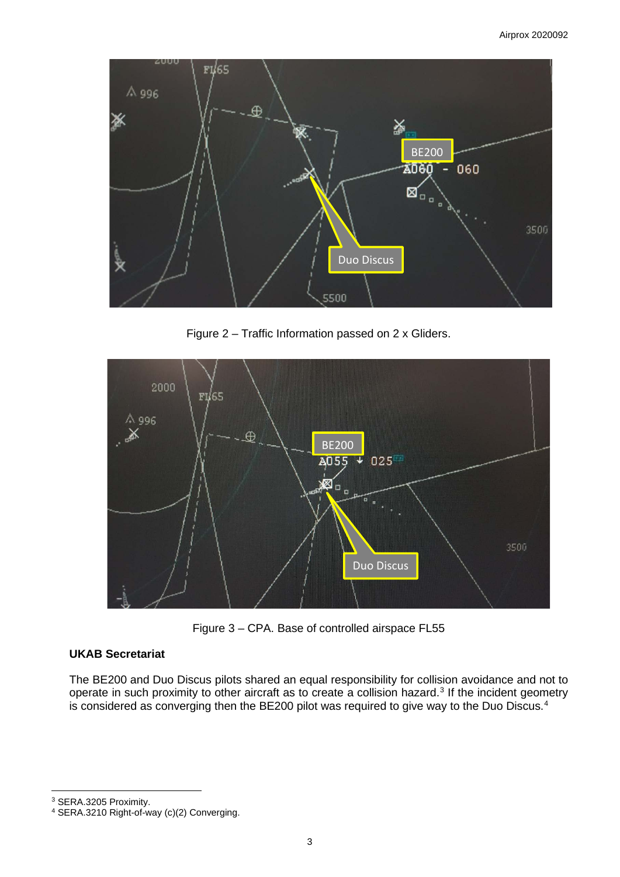

Figure 2 – Traffic Information passed on 2 x Gliders.



Figure 3 – CPA. Base of controlled airspace FL55

# **UKAB Secretariat**

The BE200 and Duo Discus pilots shared an equal responsibility for collision avoidance and not to operate in such proximity to other aircraft as to create a collision hazard.<sup>[3](#page-2-0)</sup> If the incident geometry is considered as converging then the BE200 pilot was required to give way to the Duo Discus.<sup>[4](#page-2-1)</sup>

<span id="page-2-0"></span><sup>3</sup> SERA.3205 Proximity.

<span id="page-2-1"></span><sup>4</sup> SERA.3210 Right-of-way (c)(2) Converging.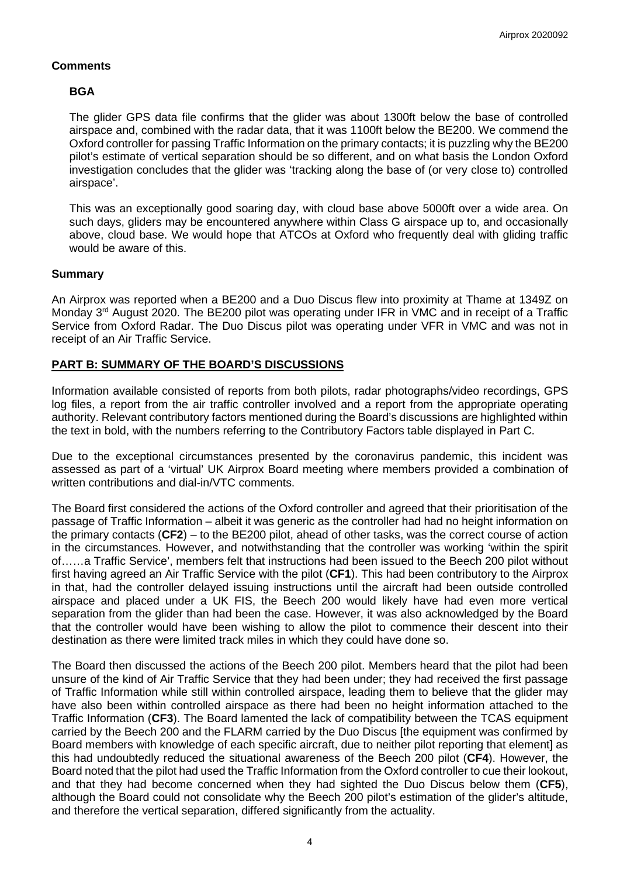## **Comments**

## **BGA**

The glider GPS data file confirms that the glider was about 1300ft below the base of controlled airspace and, combined with the radar data, that it was 1100ft below the BE200. We commend the Oxford controller for passing Traffic Information on the primary contacts; it is puzzling why the BE200 pilot's estimate of vertical separation should be so different, and on what basis the London Oxford investigation concludes that the glider was 'tracking along the base of (or very close to) controlled airspace'.

This was an exceptionally good soaring day, with cloud base above 5000ft over a wide area. On such days, gliders may be encountered anywhere within Class G airspace up to, and occasionally above, cloud base. We would hope that ATCOs at Oxford who frequently deal with gliding traffic would be aware of this.

## **Summary**

An Airprox was reported when a BE200 and a Duo Discus flew into proximity at Thame at 1349Z on Monday 3<sup>rd</sup> August 2020. The BE200 pilot was operating under IFR in VMC and in receipt of a Traffic Service from Oxford Radar. The Duo Discus pilot was operating under VFR in VMC and was not in receipt of an Air Traffic Service.

## **PART B: SUMMARY OF THE BOARD'S DISCUSSIONS**

Information available consisted of reports from both pilots, radar photographs/video recordings, GPS log files, a report from the air traffic controller involved and a report from the appropriate operating authority. Relevant contributory factors mentioned during the Board's discussions are highlighted within the text in bold, with the numbers referring to the Contributory Factors table displayed in Part C.

Due to the exceptional circumstances presented by the coronavirus pandemic, this incident was assessed as part of a 'virtual' UK Airprox Board meeting where members provided a combination of written contributions and dial-in/VTC comments.

The Board first considered the actions of the Oxford controller and agreed that their prioritisation of the passage of Traffic Information – albeit it was generic as the controller had had no height information on the primary contacts (**CF2**) – to the BE200 pilot, ahead of other tasks, was the correct course of action in the circumstances. However, and notwithstanding that the controller was working 'within the spirit of……a Traffic Service', members felt that instructions had been issued to the Beech 200 pilot without first having agreed an Air Traffic Service with the pilot (**CF1**). This had been contributory to the Airprox in that, had the controller delayed issuing instructions until the aircraft had been outside controlled airspace and placed under a UK FIS, the Beech 200 would likely have had even more vertical separation from the glider than had been the case. However, it was also acknowledged by the Board that the controller would have been wishing to allow the pilot to commence their descent into their destination as there were limited track miles in which they could have done so.

The Board then discussed the actions of the Beech 200 pilot. Members heard that the pilot had been unsure of the kind of Air Traffic Service that they had been under; they had received the first passage of Traffic Information while still within controlled airspace, leading them to believe that the glider may have also been within controlled airspace as there had been no height information attached to the Traffic Information (**CF3**). The Board lamented the lack of compatibility between the TCAS equipment carried by the Beech 200 and the FLARM carried by the Duo Discus [the equipment was confirmed by Board members with knowledge of each specific aircraft, due to neither pilot reporting that element] as this had undoubtedly reduced the situational awareness of the Beech 200 pilot (**CF4**). However, the Board noted that the pilot had used the Traffic Information from the Oxford controller to cue their lookout, and that they had become concerned when they had sighted the Duo Discus below them (**CF5**), although the Board could not consolidate why the Beech 200 pilot's estimation of the glider's altitude, and therefore the vertical separation, differed significantly from the actuality.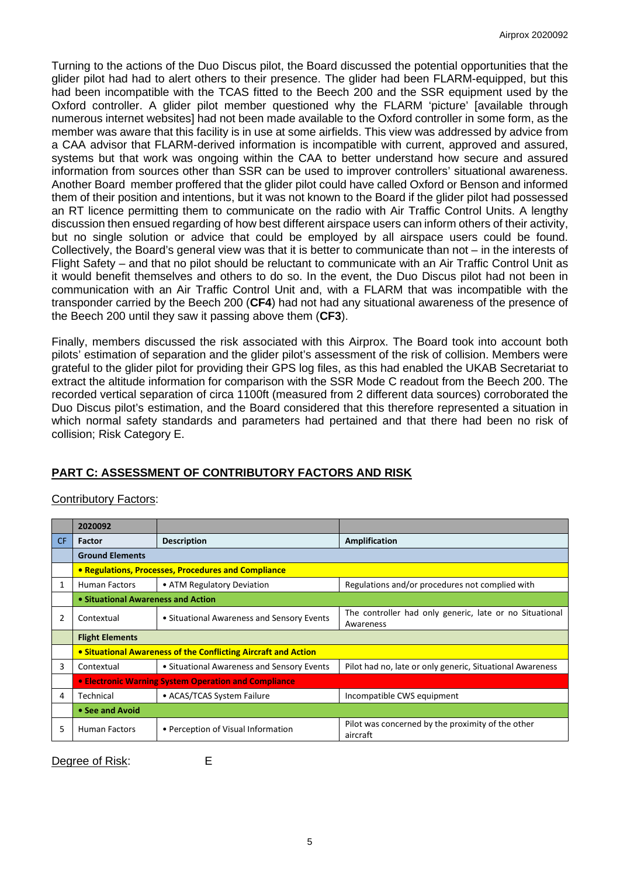Turning to the actions of the Duo Discus pilot, the Board discussed the potential opportunities that the glider pilot had had to alert others to their presence. The glider had been FLARM-equipped, but this had been incompatible with the TCAS fitted to the Beech 200 and the SSR equipment used by the Oxford controller. A glider pilot member questioned why the FLARM 'picture' [available through numerous internet websites] had not been made available to the Oxford controller in some form, as the member was aware that this facility is in use at some airfields. This view was addressed by advice from a CAA advisor that FLARM-derived information is incompatible with current, approved and assured, systems but that work was ongoing within the CAA to better understand how secure and assured information from sources other than SSR can be used to improver controllers' situational awareness. Another Board member proffered that the glider pilot could have called Oxford or Benson and informed them of their position and intentions, but it was not known to the Board if the glider pilot had possessed an RT licence permitting them to communicate on the radio with Air Traffic Control Units. A lengthy discussion then ensued regarding of how best different airspace users can inform others of their activity, but no single solution or advice that could be employed by all airspace users could be found. Collectively, the Board's general view was that it is better to communicate than not – in the interests of Flight Safety – and that no pilot should be reluctant to communicate with an Air Traffic Control Unit as it would benefit themselves and others to do so. In the event, the Duo Discus pilot had not been in communication with an Air Traffic Control Unit and, with a FLARM that was incompatible with the transponder carried by the Beech 200 (**CF4**) had not had any situational awareness of the presence of the Beech 200 until they saw it passing above them (**CF3**).

Finally, members discussed the risk associated with this Airprox. The Board took into account both pilots' estimation of separation and the glider pilot's assessment of the risk of collision. Members were grateful to the glider pilot for providing their GPS log files, as this had enabled the UKAB Secretariat to extract the altitude information for comparison with the SSR Mode C readout from the Beech 200. The recorded vertical separation of circa 1100ft (measured from 2 different data sources) corroborated the Duo Discus pilot's estimation, and the Board considered that this therefore represented a situation in which normal safety standards and parameters had pertained and that there had been no risk of collision; Risk Category E.

# **PART C: ASSESSMENT OF CONTRIBUTORY FACTORS AND RISK**

# Contributory Factors:

|     | 2020092                                                        |                                            |                                                                      |  |  |  |  |  |  |  |
|-----|----------------------------------------------------------------|--------------------------------------------|----------------------------------------------------------------------|--|--|--|--|--|--|--|
| CF. | Factor                                                         | <b>Description</b>                         | Amplification                                                        |  |  |  |  |  |  |  |
|     | <b>Ground Elements</b>                                         |                                            |                                                                      |  |  |  |  |  |  |  |
|     | • Regulations, Processes, Procedures and Compliance            |                                            |                                                                      |  |  |  |  |  |  |  |
| 1   | <b>Human Factors</b>                                           | • ATM Regulatory Deviation                 | Regulations and/or procedures not complied with                      |  |  |  |  |  |  |  |
|     | • Situational Awareness and Action                             |                                            |                                                                      |  |  |  |  |  |  |  |
| 2   | Contextual                                                     | • Situational Awareness and Sensory Events | The controller had only generic, late or no Situational<br>Awareness |  |  |  |  |  |  |  |
|     | <b>Flight Elements</b>                                         |                                            |                                                                      |  |  |  |  |  |  |  |
|     | • Situational Awareness of the Conflicting Aircraft and Action |                                            |                                                                      |  |  |  |  |  |  |  |
| 3   | Contextual                                                     | • Situational Awareness and Sensory Events | Pilot had no, late or only generic, Situational Awareness            |  |  |  |  |  |  |  |
|     | • Electronic Warning System Operation and Compliance           |                                            |                                                                      |  |  |  |  |  |  |  |
| 4   | Technical                                                      | • ACAS/TCAS System Failure                 | Incompatible CWS equipment                                           |  |  |  |  |  |  |  |
|     | • See and Avoid                                                |                                            |                                                                      |  |  |  |  |  |  |  |
| 5   | <b>Human Factors</b>                                           | • Perception of Visual Information         | Pilot was concerned by the proximity of the other<br>aircraft        |  |  |  |  |  |  |  |

Degree of Risk: E